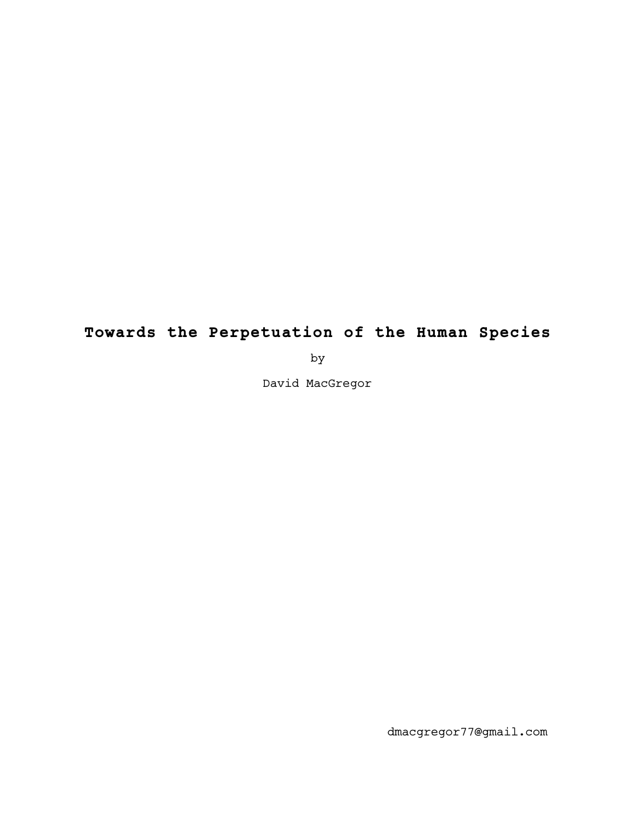# **Towards the Perpetuation of the Human Species**

by

David MacGregor

dmacgregor77@gmail.com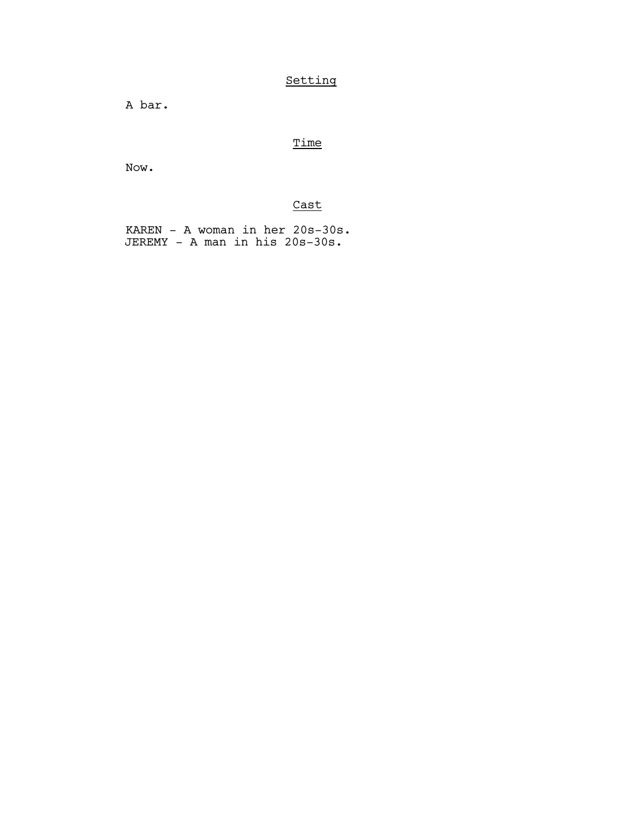## Setting

A bar.

## Time

Now.

# Cast

 KAREN - A woman in her 20s-30s. JEREMY - A man in his 20s-30s.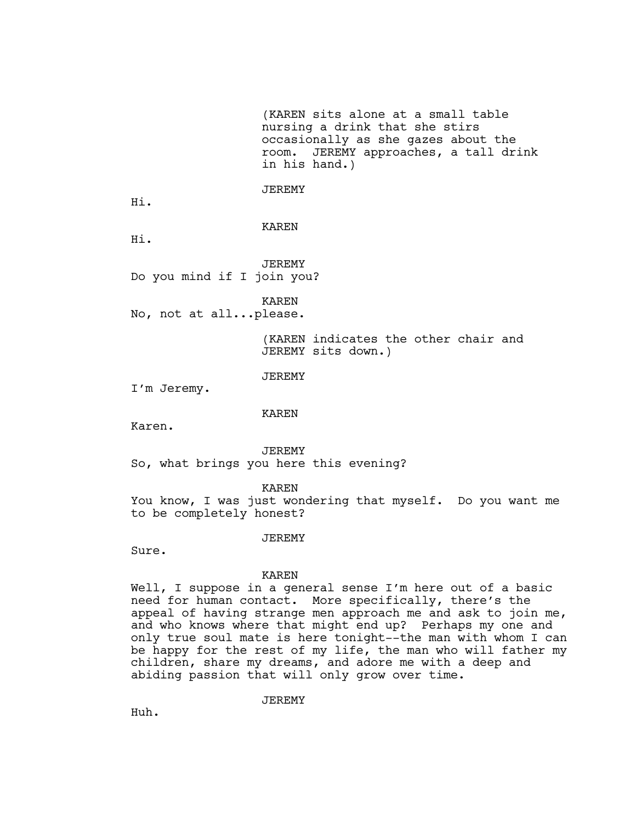(KAREN sits alone at a small table nursing a drink that she stirs occasionally as she gazes about the room. JEREMY approaches, a tall drink in his hand.)

JEREMY

Hi.

KAREN

Hi.

JEREMY Do you mind if I join you?

KAREN

No, not at all...please.

(KAREN indicates the other chair and JEREMY sits down.)

JEREMY

I'm Jeremy.

KAREN

Karen.

JEREMY So, what brings you here this evening?

KAREN

You know, I was just wondering that myself. Do you want me to be completely honest?

#### JEREMY

Sure.

#### KAREN

Well, I suppose in a general sense I'm here out of a basic need for human contact. More specifically, there's the appeal of having strange men approach me and ask to join me, and who knows where that might end up? Perhaps my one and only true soul mate is here tonight--the man with whom I can be happy for the rest of my life, the man who will father my children, share my dreams, and adore me with a deep and abiding passion that will only grow over time.

JEREMY

Huh.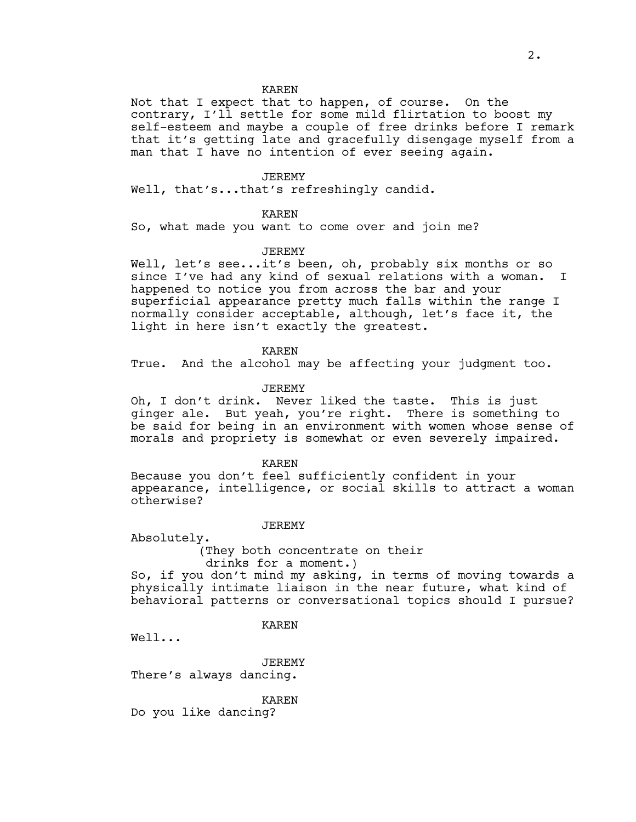#### KAREN

Not that I expect that to happen, of course. On the contrary, I'll settle for some mild flirtation to boost my self-esteem and maybe a couple of free drinks before I remark that it's getting late and gracefully disengage myself from a man that I have no intention of ever seeing again.

#### JEREMY

Well, that's...that's refreshingly candid.

#### KAREN

So, what made you want to come over and join me?

### JEREMY

Well, let's see...it's been, oh, probably six months or so since I've had any kind of sexual relations with a woman. I happened to notice you from across the bar and your superficial appearance pretty much falls within the range I normally consider acceptable, although, let's face it, the light in here isn't exactly the greatest.

KAREN

True. And the alcohol may be affecting your judgment too.

#### JEREMY

Oh, I don't drink. Never liked the taste. This is just ginger ale. But yeah, you're right. There is something to be said for being in an environment with women whose sense of morals and propriety is somewhat or even severely impaired.

KAREN

Because you don't feel sufficiently confident in your appearance, intelligence, or social skills to attract a woman otherwise?

#### JEREMY

Absolutely.

(They both concentrate on their drinks for a moment.)

So, if you don't mind my asking, in terms of moving towards a physically intimate liaison in the near future, what kind of behavioral patterns or conversational topics should I pursue?

KAREN

Well...

JEREMY There's always dancing.

KAREN

Do you like dancing?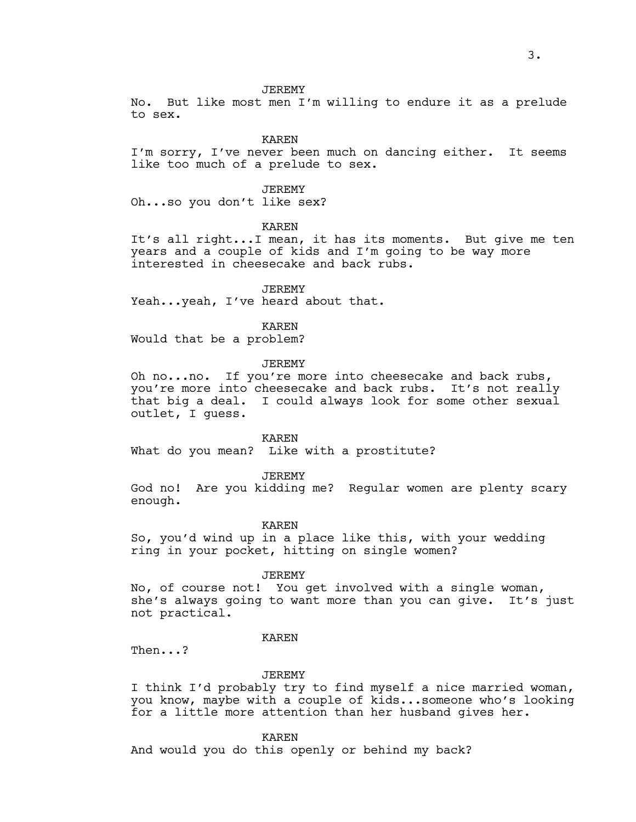JEREMY

No. But like most men I'm willing to endure it as a prelude to sex.

KAREN

I'm sorry, I've never been much on dancing either. It seems like too much of a prelude to sex.

JEREMY

Oh...so you don't like sex?

KAREN

It's all right...I mean, it has its moments. But give me ten years and a couple of kids and I'm going to be way more interested in cheesecake and back rubs.

**JEREMY** Yeah...yeah, I've heard about that.

KAREN Would that be a problem?

JEREMY

Oh no...no. If you're more into cheesecake and back rubs, you're more into cheesecake and back rubs. It's not really that big a deal. I could always look for some other sexual outlet, I guess.

KAREN

What do you mean? Like with a prostitute?

JEREMY

God no! Are you kidding me? Regular women are plenty scary enough.

KAREN

So, you'd wind up in a place like this, with your wedding ring in your pocket, hitting on single women?

JEREMY

No, of course not! You get involved with a single woman, she's always going to want more than you can give. It's just not practical.

KAREN

Then...?

JEREMY

I think I'd probably try to find myself a nice married woman, you know, maybe with a couple of kids...someone who's looking for a little more attention than her husband gives her.

KAREN

And would you do this openly or behind my back?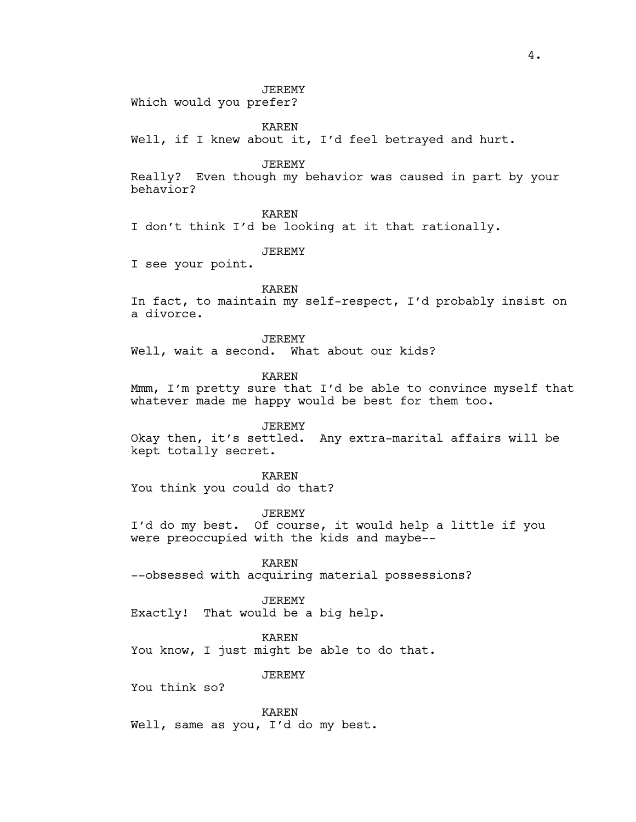JEREMY

Which would you prefer?

KAREN

Well, if I knew about it, I'd feel betrayed and hurt.

JEREMY

Really? Even though my behavior was caused in part by your behavior?

KAREN

I don't think I'd be looking at it that rationally.

JEREMY

I see your point.

KAREN

In fact, to maintain my self-respect, I'd probably insist on a divorce.

JEREMY

Well, wait a second. What about our kids?

KAREN

Mmm, I'm pretty sure that I'd be able to convince myself that whatever made me happy would be best for them too.

JEREMY

Okay then, it's settled. Any extra-marital affairs will be kept totally secret.

KAREN

You think you could do that?

JEREMY

I'd do my best. Of course, it would help a little if you were preoccupied with the kids and maybe--

KAREN

--obsessed with acquiring material possessions?

JEREMY

Exactly! That would be a big help.

KAREN

You know, I just might be able to do that.

**JEREMY** 

You think so?

KAREN Well, same as you, I'd do my best.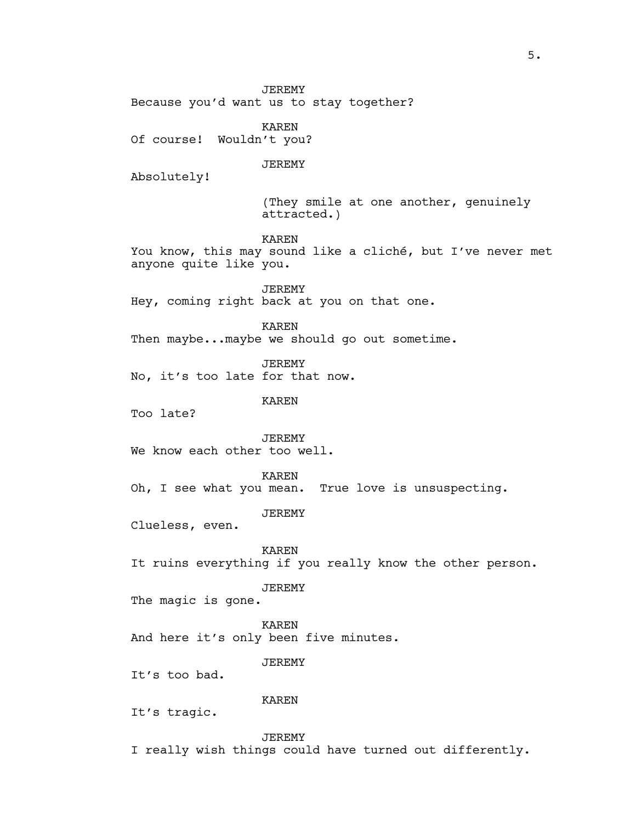JEREMY Because you'd want us to stay together?

KAREN Of course! Wouldn't you?

#### JEREMY

Absolutely!

(They smile at one another, genuinely attracted.)

KAREN

You know, this may sound like a cliché, but I've never met anyone quite like you.

JEREMY Hey, coming right back at you on that one.

KAREN Then maybe...maybe we should go out sometime.

JEREMY No, it's too late for that now.

## KAREN

Too late?

JEREMY We know each other too well.

KAREN

Oh, I see what you mean. True love is unsuspecting.

JEREMY

Clueless, even.

KAREN

It ruins everything if you really know the other person.

JEREMY

The magic is gone.

KAREN And here it's only been five minutes.

JEREMY

It's too bad.

KAREN

It's tragic.

JEREMY

I really wish things could have turned out differently.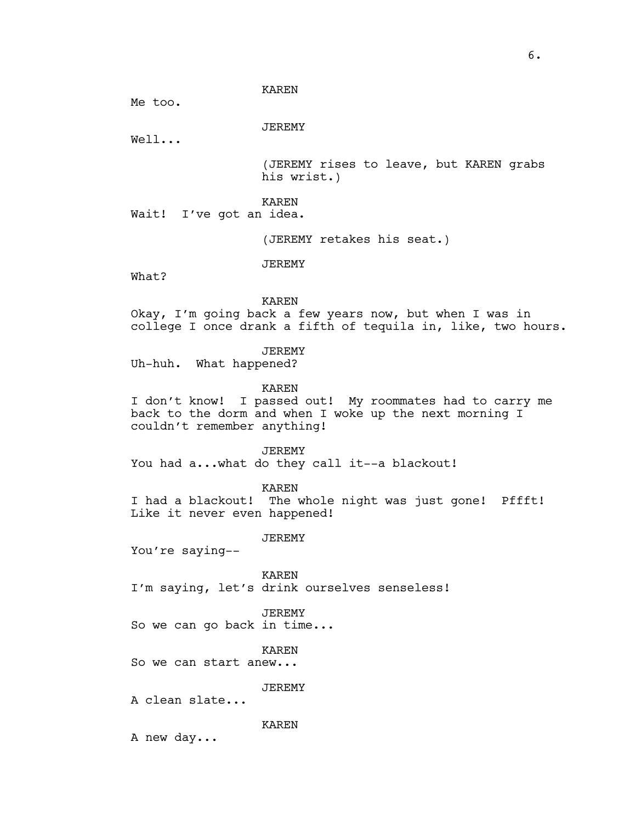#### KAREN

Me too.

JEREMY

Well...

(JEREMY rises to leave, but KAREN grabs his wrist.)

KAREN

Wait! I've got an idea.

(JEREMY retakes his seat.)

What?

KAREN

JEREMY

Okay, I'm going back a few years now, but when I was in college I once drank a fifth of tequila in, like, two hours.

JEREMY

Uh-huh. What happened?

KAREN

I don't know! I passed out! My roommates had to carry me back to the dorm and when I woke up the next morning I couldn't remember anything!

JEREMY

You had a...what do they call it--a blackout!

KAREN

I had a blackout! The whole night was just gone! Pffft! Like it never even happened!

JEREMY

You're saying--

KAREN I'm saying, let's drink ourselves senseless!

JEREMY

So we can go back in time...

KAREN

So we can start anew...

JEREMY

A clean slate...

KAREN

A new day...